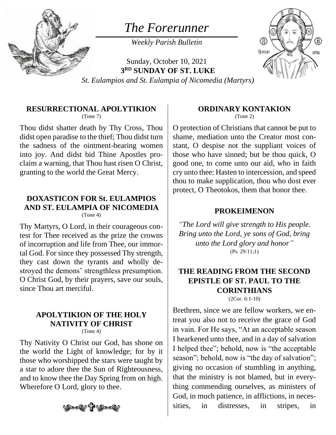

# *The Forerunner*

*Weekly Parish Bulletin*



Sunday, October 10, 2021 **3 RD SUNDAY OF ST. LUKE** *St. Eulampios and St. Eulampia of Nicomedia (Martyrs)*

#### **RESURRECTIONAL APOLYTIKION**

(Tone 7)

Thou didst shatter death by Thy Cross, Thou didst open paradise to the thief; Thou didst turn the sadness of the ointment-bearing women into joy. And didst bid Thine Apostles proclaim a warning, that Thou hast risen O Christ, granting to the world the Great Mercy.

## **DOXASTICON FOR St. EULAMPIOS AND ST. EULAMPIA OF NICOMEDIA**

(Tone 4)

Thy Martyrs, O Lord, in their courageous contest for Thee received as the prize the crowns of incorruption and life from Thee, our immortal God. For since they possessed Thy strength, they cast down the tyrants and wholly destroyed the demons' strengthless presumption. O Christ God, by their prayers, save our souls, since Thou art merciful.

#### **APOLYTIKION OF THE HOLY NATIVITY OF CHRIST**  $(Tone 4)$

Thy Nativity O Christ our God, has shone on the world the Light of knowledge; for by it those who worshipped the stars were taught by a star to adore thee the Sun of Righteousness, and to know thee the Day Spring from on high. Wherefore O Lord, glory to thee.



#### **ORDINARY KONTAKION**

(Tone 2)

O protection of Christians that cannot be put to shame, mediation unto the Creator most constant, O despise not the suppliant voices of those who have sinned; but be thou quick, O good one, to come unto our aid, who in faith cry unto thee: Hasten to intercession, and speed thou to make supplication, thou who dost ever protect, O Theotokos, them that honor thee.

#### **PROKEIMENON**

*"The Lord will give strength to His people. Bring unto the Lord, ye sons of God, bring unto the Lord glory and honor"* (Ps. 29:11;1)

### **THE READING FROM THE SECOND EPISTLE OF ST. PAUL TO THE CORINTHIANS**

(2Cor. 6:1-10)

Brethren, since we are fellow workers, we entreat you also not to receive the grace of God in vain. For He says, "At an acceptable season I hearkened unto thee, and in a day of salvation I helped thee"; behold, now is "the acceptable season"; behold, now is "the day of salvation"; giving no occasion of stumbling in anything, that the ministry is not blamed, but in everything commending ourselves, as ministers of God, in much patience, in afflictions, in necessities, in distresses, in stripes, in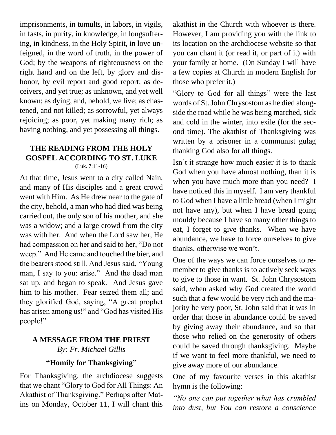imprisonments, in tumults, in labors, in vigils, in fasts, in purity, in knowledge, in longsuffering, in kindness, in the Holy Spirit, in love unfeigned, in the word of truth, in the power of God; by the weapons of righteousness on the right hand and on the left, by glory and dishonor, by evil report and good report; as deceivers, and yet true; as unknown, and yet well known; as dying, and, behold, we live; as chastened, and not killed; as sorrowful, yet always rejoicing; as poor, yet making many rich; as having nothing, and yet possessing all things.

#### **THE READING FROM THE HOLY GOSPEL ACCORDING TO ST. LUKE** (Luk. 7:11-16)

At that time, Jesus went to a city called Nain, and many of His disciples and a great crowd went with Him. As He drew near to the gate of the city, behold, a man who had died was being carried out, the only son of his mother, and she was a widow; and a large crowd from the city was with her. And when the Lord saw her, He had compassion on her and said to her, "Do not weep." And He came and touched the bier, and the bearers stood still. And Jesus said, "Young man, I say to you: arise." And the dead man sat up, and began to speak. And Jesus gave him to his mother. Fear seized them all; and they glorified God, saying, "A great prophet has arisen among us!" and "God has visited His people!"

### **A MESSAGE FROM THE PRIEST** *By: Fr. Michael Gillis*

### **"Homily for Thanksgiving"**

For Thanksgiving, the archdiocese suggests that we chant "Glory to God for All Things: An Akathist of Thanksgiving." Perhaps after Matins on Monday, October 11, I will chant this

akathist in the Church with whoever is there. However, I am providing you with the link to its location on the archdiocese website so that you can chant it (or read it, or part of it) with your family at home. (On Sunday I will have a few copies at Church in modern English for those who prefer it.)

"Glory to God for all things" were the last words of St. John Chrysostom as he died alongside the road while he was being marched, sick and cold in the winter, into exile (for the second time). The akathist of Thanksgiving was written by a prisoner in a communist gulag thanking God also for all things.

Isn't it strange how much easier it is to thank God when you have almost nothing, than it is when you have much more than you need? I have noticed this in myself. I am very thankful to God when I have a little bread (when I might not have any), but when I have bread going mouldy because I have so many other things to eat, I forget to give thanks. When we have abundance, we have to force ourselves to give thanks, otherwise we won't.

One of the ways we can force ourselves to remember to give thanks is to actively seek ways to give to those in want. St. John Chrysostom said, when asked why God created the world such that a few would be very rich and the majority be very poor, St. John said that it was in order that those in abundance could be saved by giving away their abundance, and so that those who relied on the generosity of others could be saved through thanksgiving. Maybe if we want to feel more thankful, we need to give away more of our abundance.

One of my favourite verses in this akathist hymn is the following:

*"No one can put together what has crumbled into dust, but You can restore a conscience*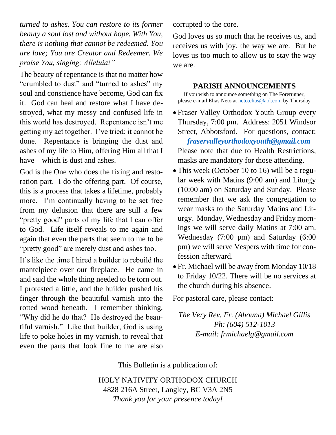*turned to ashes. You can restore to its former beauty a soul lost and without hope. With You, there is nothing that cannot be redeemed. You are love; You are Creator and Redeemer. We praise You, singing: Alleluia!"*

The beauty of repentance is that no matter how "crumbled to dust" and "turned to ashes" my soul and conscience have become, God can fix it. God can heal and restore what I have destroyed, what my messy and confused life in this world has destroyed. Repentance isn't me getting my act together. I've tried: it cannot be done. Repentance is bringing the dust and ashes of my life to Him, offering Him all that I have—which is dust and ashes.

God is the One who does the fixing and restoration part. I do the offering part. Of course, this is a process that takes a lifetime, probably more. I'm continually having to be set free from my delusion that there are still a few "pretty good" parts of my life that I can offer to God. Life itself reveals to me again and again that even the parts that seem to me to be "pretty good" are merely dust and ashes too.

It's like the time I hired a builder to rebuild the mantelpiece over our fireplace. He came in and said the whole thing needed to be torn out. I protested a little, and the builder pushed his finger through the beautiful varnish into the rotted wood beneath. I remember thinking, "Why did he do that? He destroyed the beautiful varnish." Like that builder, God is using life to poke holes in my varnish, to reveal that even the parts that look fine to me are also

corrupted to the core.

God loves us so much that he receives us, and receives us with joy, the way we are. But he loves us too much to allow us to stay the way we are.

### **PARISH ANNOUNCEMENTS**

If you wish to announce something on The Forerunner, please e-mail Elias Neto at [neto.elias@aol.com](mailto:neto.elias@aol.com) by Thursday

- Fraser Valley Orthodox Youth Group every Thursday, 7:00 pm. Address: 2051 Windsor Street, Abbotsford. For questions, contact:  *[fraservalleyorthodoxyouth@gmail.com](mailto:fraservalleyorthodoxyouth@gmail.com)* Please note that due to Health Restrictions, masks are mandatory for those attending.
- This week (October 10 to 16) will be a regular week with Matins (9:00 am) and Liturgy (10:00 am) on Saturday and Sunday. Please remember that we ask the congregation to wear masks to the Saturday Matins and Liturgy. Monday, Wednesday and Friday mornings we will serve daily Matins at 7:00 am. Wednesday (7:00 pm) and Saturday (6:00 pm) we will serve Vespers with time for confession afterward.
- Fr. Michael will be away from Monday 10/18 to Friday 10/22. There will be no services at the church during his absence.

For pastoral care, please contact:

*The Very Rev. Fr. (Abouna) Michael Gillis Ph: (604) 512-1013 E-mail: frmichaelg@gmail.com*

This Bulletin is a publication of:

HOLY NATIVITY ORTHODOX CHURCH 4828 216A Street, Langley, BC V3A 2N5 *Thank you for your presence today!*